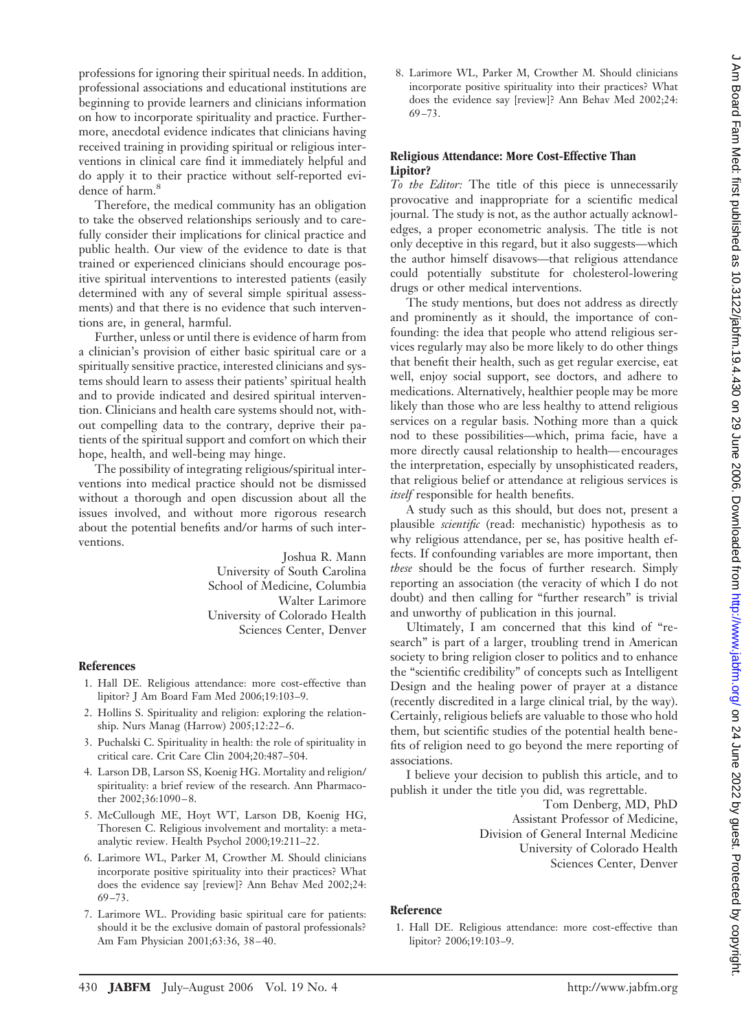professions for ignoring their spiritual needs. In addition, professional associations and educational institutions are beginning to provide learners and clinicians information on how to incorporate spirituality and practice. Furthermore, anecdotal evidence indicates that clinicians having received training in providing spiritual or religious interventions in clinical care find it immediately helpful and do apply it to their practice without self-reported evidence of harm.<sup>8</sup>

Therefore, the medical community has an obligation to take the observed relationships seriously and to carefully consider their implications for clinical practice and public health. Our view of the evidence to date is that trained or experienced clinicians should encourage positive spiritual interventions to interested patients (easily determined with any of several simple spiritual assessments) and that there is no evidence that such interventions are, in general, harmful.

Further, unless or until there is evidence of harm from a clinician's provision of either basic spiritual care or a spiritually sensitive practice, interested clinicians and systems should learn to assess their patients' spiritual health and to provide indicated and desired spiritual intervention. Clinicians and health care systems should not, without compelling data to the contrary, deprive their patients of the spiritual support and comfort on which their hope, health, and well-being may hinge.

The possibility of integrating religious/spiritual interventions into medical practice should not be dismissed without a thorough and open discussion about all the issues involved, and without more rigorous research about the potential benefits and/or harms of such interventions.

> Joshua R. Mann University of South Carolina School of Medicine, Columbia Walter Larimore University of Colorado Health Sciences Center, Denver

## **References**

- 1. Hall DE. Religious attendance: more cost-effective than lipitor? J Am Board Fam Med 2006;19:103–9.
- 2. Hollins S. Spirituality and religion: exploring the relationship. Nurs Manag (Harrow) 2005;12:22– 6.
- 3. Puchalski C. Spirituality in health: the role of spirituality in critical care. Crit Care Clin 2004;20:487–504.
- 4. Larson DB, Larson SS, Koenig HG. Mortality and religion/ spirituality: a brief review of the research. Ann Pharmacother 2002;36:1090-8.
- 5. McCullough ME, Hoyt WT, Larson DB, Koenig HG, Thoresen C. Religious involvement and mortality: a metaanalytic review. Health Psychol 2000;19:211–22.
- 6. Larimore WL, Parker M, Crowther M. Should clinicians incorporate positive spirituality into their practices? What does the evidence say [review]? Ann Behav Med 2002;24:  $69 - 73.$
- 7. Larimore WL. Providing basic spiritual care for patients: should it be the exclusive domain of pastoral professionals? Am Fam Physician 2001;63:36, 38 – 40.

8. Larimore WL, Parker M, Crowther M. Should clinicians incorporate positive spirituality into their practices? What does the evidence say [review]? Ann Behav Med 2002;24: 69 –73.

## **Religious Attendance: More Cost-Effective Than Lipitor?**

*To the Editor:* The title of this piece is unnecessarily provocative and inappropriate for a scientific medical journal. The study is not, as the author actually acknowledges, a proper econometric analysis. The title is not only deceptive in this regard, but it also suggests—which the author himself disavows—that religious attendance could potentially substitute for cholesterol-lowering drugs or other medical interventions.

The study mentions, but does not address as directly and prominently as it should, the importance of confounding: the idea that people who attend religious services regularly may also be more likely to do other things that benefit their health, such as get regular exercise, eat well, enjoy social support, see doctors, and adhere to medications. Alternatively, healthier people may be more likely than those who are less healthy to attend religious services on a regular basis. Nothing more than a quick nod to these possibilities—which, prima facie, have a more directly causal relationship to health— encourages the interpretation, especially by unsophisticated readers, that religious belief or attendance at religious services is *itself* responsible for health benefits.

A study such as this should, but does not, present a plausible *scientific* (read: mechanistic) hypothesis as to why religious attendance, per se, has positive health effects. If confounding variables are more important, then *these* should be the focus of further research. Simply reporting an association (the veracity of which I do not doubt) and then calling for "further research" is trivial and unworthy of publication in this journal.

Ultimately, I am concerned that this kind of "research" is part of a larger, troubling trend in American society to bring religion closer to politics and to enhance the "scientific credibility" of concepts such as Intelligent Design and the healing power of prayer at a distance (recently discredited in a large clinical trial, by the way). Certainly, religious beliefs are valuable to those who hold them, but scientific studies of the potential health benefits of religion need to go beyond the mere reporting of associations.

I believe your decision to publish this article, and to publish it under the title you did, was regrettable.

> Tom Denberg, MD, PhD Assistant Professor of Medicine, Division of General Internal Medicine University of Colorado Health Sciences Center, Denver

## **Reference**

<sup>1.</sup> Hall DE. Religious attendance: more cost-effective than lipitor? 2006;19:103–9.